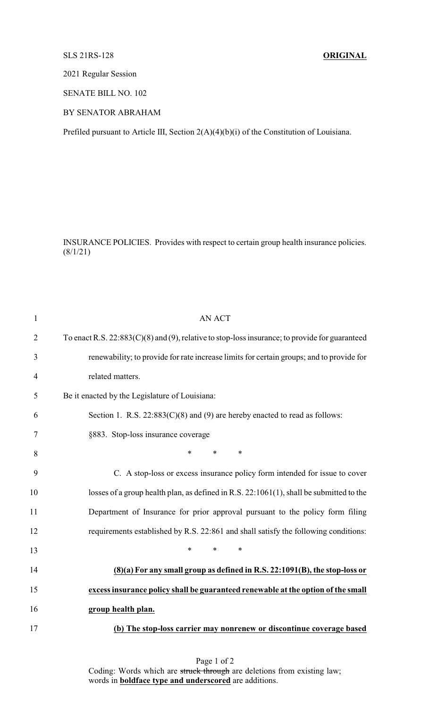## SLS 21RS-128 **ORIGINAL**

2021 Regular Session

SENATE BILL NO. 102

## BY SENATOR ABRAHAM

Prefiled pursuant to Article III, Section 2(A)(4)(b)(i) of the Constitution of Louisiana.

INSURANCE POLICIES. Provides with respect to certain group health insurance policies.  $(8/1/21)$ 

| $\mathbf{1}$   | <b>AN ACT</b>                                                                                    |
|----------------|--------------------------------------------------------------------------------------------------|
| $\overline{2}$ | To enact R.S. $22:883(C)(8)$ and (9), relative to stop-loss insurance; to provide for guaranteed |
| 3              | renewability; to provide for rate increase limits for certain groups; and to provide for         |
| $\overline{4}$ | related matters.                                                                                 |
| 5              | Be it enacted by the Legislature of Louisiana:                                                   |
| 6              | Section 1. R.S. $22:883(C)(8)$ and (9) are hereby enacted to read as follows:                    |
| 7              | §883. Stop-loss insurance coverage                                                               |
| 8              | *<br>$\ast$<br>$\ast$                                                                            |
| 9              | C. A stop-loss or excess insurance policy form intended for issue to cover                       |
| 10             | losses of a group health plan, as defined in R.S. $22:1061(1)$ , shall be submitted to the       |
| 11             | Department of Insurance for prior approval pursuant to the policy form filing                    |
| 12             | requirements established by R.S. 22:861 and shall satisfy the following conditions:              |
| 13             | $\ast$<br>$\ast$<br>*                                                                            |
| 14             | $(8)(a)$ For any small group as defined in R.S. 22:1091 $(B)$ , the stop-loss or                 |
| 15             | excess insurance policy shall be guaranteed renewable at the option of the small                 |
| 16             | group health plan.                                                                               |
| 17             | (b) The stop-loss carrier may nonrenew or discontinue coverage based                             |
|                |                                                                                                  |

Page 1 of 2 Coding: Words which are struck through are deletions from existing law; words in **boldface type and underscored** are additions.